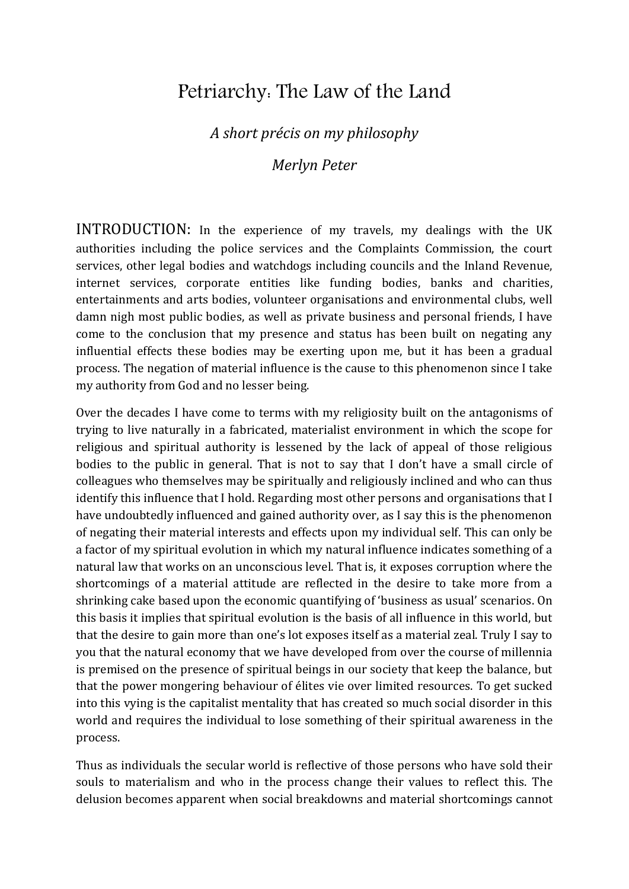## Petriarchy: The Law of the Land

## *A short précis on my philosophy*

*Merlyn Peter*

INTRODUCTION: In the experience of my travels, my dealings with the UK authorities including the police services and the Complaints Commission, the court services, other legal bodies and watchdogs including councils and the Inland Revenue, internet services, corporate entities like funding bodies, banks and charities, entertainments and arts bodies, volunteer organisations and environmental clubs, well damn nigh most public bodies, as well as private business and personal friends, I have come to the conclusion that my presence and status has been built on negating any influential effects these bodies may be exerting upon me, but it has been a gradual process. The negation of material influence is the cause to this phenomenon since I take my authority from God and no lesser being.

Over the decades I have come to terms with my religiosity built on the antagonisms of trying to live naturally in a fabricated, materialist environment in which the scope for religious and spiritual authority is lessened by the lack of appeal of those religious bodies to the public in general. That is not to say that I don't have a small circle of colleagues who themselves may be spiritually and religiously inclined and who can thus identify this influence that I hold. Regarding most other persons and organisations that I have undoubtedly influenced and gained authority over, as I say this is the phenomenon of negating their material interests and effects upon my individual self. This can only be a factor of my spiritual evolution in which my natural influence indicates something of a natural law that works on an unconscious level. That is, it exposes corruption where the shortcomings of a material attitude are reflected in the desire to take more from a shrinking cake based upon the economic quantifying of 'business as usual' scenarios. On this basis it implies that spiritual evolution is the basis of all influence in this world, but that the desire to gain more than one's lot exposes itself as a material zeal. Truly I say to you that the natural economy that we have developed from over the course of millennia is premised on the presence of spiritual beings in our society that keep the balance, but that the power mongering behaviour of élites vie over limited resources. To get sucked into this vying is the capitalist mentality that has created so much social disorder in this world and requires the individual to lose something of their spiritual awareness in the process.

Thus as individuals the secular world is reflective of those persons who have sold their souls to materialism and who in the process change their values to reflect this. The delusion becomes apparent when social breakdowns and material shortcomings cannot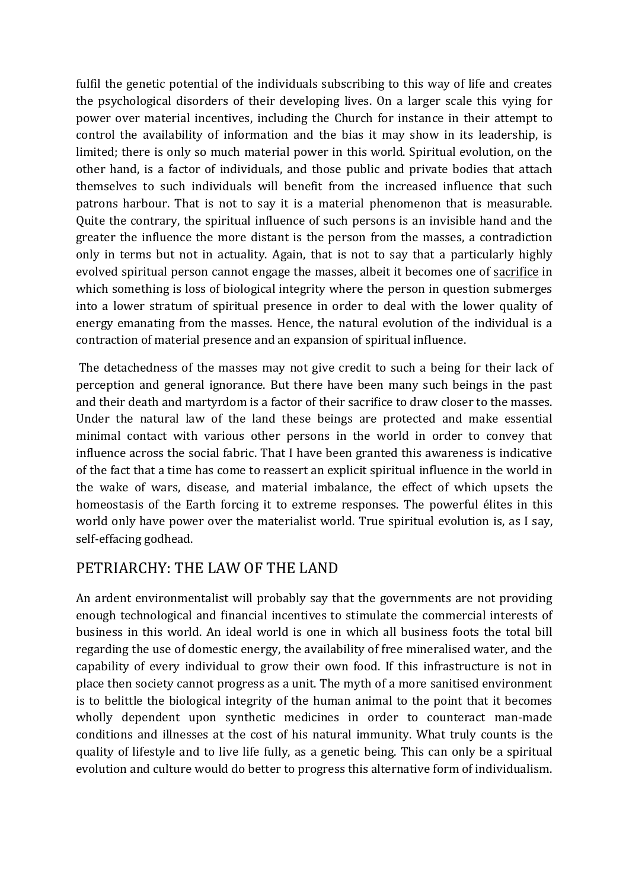fulfil the genetic potential of the individuals subscribing to this way of life and creates the psychological disorders of their developing lives. On a larger scale this vying for power over material incentives, including the Church for instance in their attempt to control the availability of information and the bias it may show in its leadership, is limited; there is only so much material power in this world. Spiritual evolution, on the other hand, is a factor of individuals, and those public and private bodies that attach themselves to such individuals will benefit from the increased influence that such patrons harbour. That is not to say it is a material phenomenon that is measurable. Quite the contrary, the spiritual influence of such persons is an invisible hand and the greater the influence the more distant is the person from the masses, a contradiction only in terms but not in actuality. Again, that is not to say that a particularly highly evolved spiritual person cannot engage the masses, albeit it becomes one of sacrifice in which something is loss of biological integrity where the person in question submerges into a lower stratum of spiritual presence in order to deal with the lower quality of energy emanating from the masses. Hence, the natural evolution of the individual is a contraction of material presence and an expansion of spiritual influence.

The detachedness of the masses may not give credit to such a being for their lack of perception and general ignorance. But there have been many such beings in the past and their death and martyrdom is a factor of their sacrifice to draw closer to the masses. Under the natural law of the land these beings are protected and make essential minimal contact with various other persons in the world in order to convey that influence across the social fabric. That I have been granted this awareness is indicative of the fact that a time has come to reassert an explicit spiritual influence in the world in the wake of wars, disease, and material imbalance, the effect of which upsets the homeostasis of the Earth forcing it to extreme responses. The powerful élites in this world only have power over the materialist world. True spiritual evolution is, as I say, self-effacing godhead.

## PETRIARCHY: THE LAW OF THE LAND

An ardent environmentalist will probably say that the governments are not providing enough technological and financial incentives to stimulate the commercial interests of business in this world. An ideal world is one in which all business foots the total bill regarding the use of domestic energy, the availability of free mineralised water, and the capability of every individual to grow their own food. If this infrastructure is not in place then society cannot progress as a unit. The myth of a more sanitised environment is to belittle the biological integrity of the human animal to the point that it becomes wholly dependent upon synthetic medicines in order to counteract man-made conditions and illnesses at the cost of his natural immunity. What truly counts is the quality of lifestyle and to live life fully, as a genetic being. This can only be a spiritual evolution and culture would do better to progress this alternative form of individualism.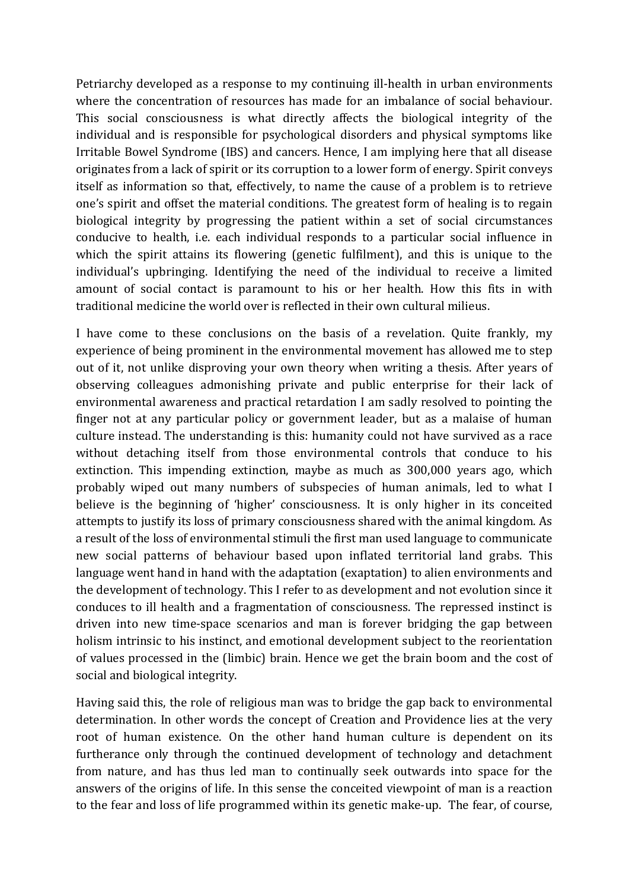Petriarchy developed as a response to my continuing ill-health in urban environments where the concentration of resources has made for an imbalance of social behaviour. This social consciousness is what directly affects the biological integrity of the individual and is responsible for psychological disorders and physical symptoms like Irritable Bowel Syndrome (IBS) and cancers. Hence, I am implying here that all disease originates from a lack of spirit or its corruption to a lower form of energy. Spirit conveys itself as information so that, effectively, to name the cause of a problem is to retrieve one's spirit and offset the material conditions. The greatest form of healing is to regain biological integrity by progressing the patient within a set of social circumstances conducive to health, i.e. each individual responds to a particular social influence in which the spirit attains its flowering (genetic fulfilment), and this is unique to the individual's upbringing. Identifying the need of the individual to receive a limited amount of social contact is paramount to his or her health. How this fits in with traditional medicine the world over is reflected in their own cultural milieus.

I have come to these conclusions on the basis of a revelation. Quite frankly, my experience of being prominent in the environmental movement has allowed me to step out of it, not unlike disproving your own theory when writing a thesis. After years of observing colleagues admonishing private and public enterprise for their lack of environmental awareness and practical retardation I am sadly resolved to pointing the finger not at any particular policy or government leader, but as a malaise of human culture instead. The understanding is this: humanity could not have survived as a race without detaching itself from those environmental controls that conduce to his extinction. This impending extinction, maybe as much as 300,000 years ago, which probably wiped out many numbers of subspecies of human animals, led to what I believe is the beginning of 'higher' consciousness. It is only higher in its conceited attempts to justify its loss of primary consciousness shared with the animal kingdom. As a result of the loss of environmental stimuli the first man used language to communicate new social patterns of behaviour based upon inflated territorial land grabs. This language went hand in hand with the adaptation (exaptation) to alien environments and the development of technology. This I refer to as development and not evolution since it conduces to ill health and a fragmentation of consciousness. The repressed instinct is driven into new time-space scenarios and man is forever bridging the gap between holism intrinsic to his instinct, and emotional development subject to the reorientation of values processed in the (limbic) brain. Hence we get the brain boom and the cost of social and biological integrity.

Having said this, the role of religious man was to bridge the gap back to environmental determination. In other words the concept of Creation and Providence lies at the very root of human existence. On the other hand human culture is dependent on its furtherance only through the continued development of technology and detachment from nature, and has thus led man to continually seek outwards into space for the answers of the origins of life. In this sense the conceited viewpoint of man is a reaction to the fear and loss of life programmed within its genetic make-up. The fear, of course,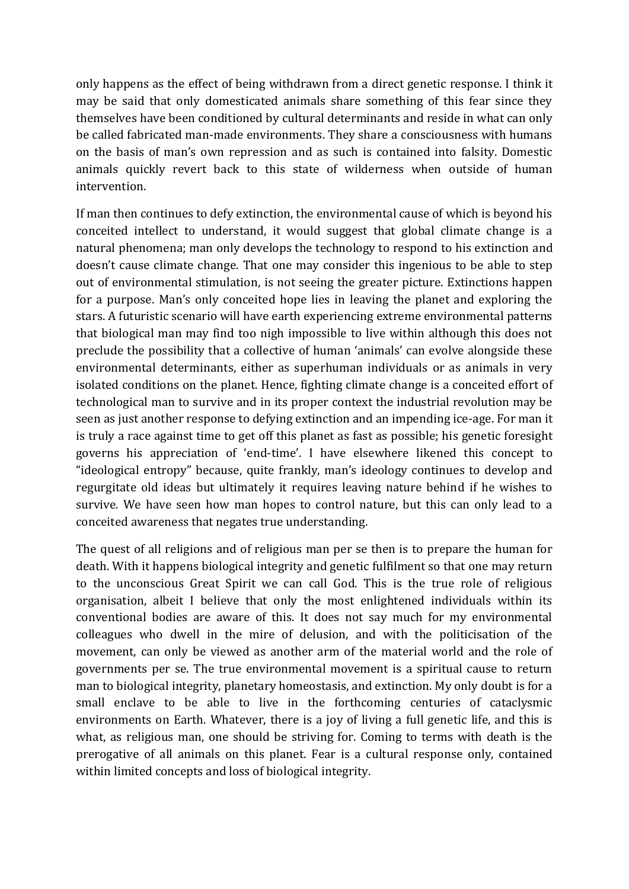only happens as the effect of being withdrawn from a direct genetic response. I think it may be said that only domesticated animals share something of this fear since they themselves have been conditioned by cultural determinants and reside in what can only be called fabricated man-made environments. They share a consciousness with humans on the basis of man's own repression and as such is contained into falsity. Domestic animals quickly revert back to this state of wilderness when outside of human intervention.

If man then continues to defy extinction, the environmental cause of which is beyond his conceited intellect to understand, it would suggest that global climate change is a natural phenomena; man only develops the technology to respond to his extinction and doesn't cause climate change. That one may consider this ingenious to be able to step out of environmental stimulation, is not seeing the greater picture. Extinctions happen for a purpose. Man's only conceited hope lies in leaving the planet and exploring the stars. A futuristic scenario will have earth experiencing extreme environmental patterns that biological man may find too nigh impossible to live within although this does not preclude the possibility that a collective of human 'animals' can evolve alongside these environmental determinants, either as superhuman individuals or as animals in very isolated conditions on the planet. Hence, fighting climate change is a conceited effort of technological man to survive and in its proper context the industrial revolution may be seen as just another response to defying extinction and an impending ice-age. For man it is truly a race against time to get off this planet as fast as possible; his genetic foresight governs his appreciation of 'end-time'. I have elsewhere likened this concept to "ideological entropy" because, quite frankly, man's ideology continues to develop and regurgitate old ideas but ultimately it requires leaving nature behind if he wishes to survive. We have seen how man hopes to control nature, but this can only lead to a conceited awareness that negates true understanding.

The quest of all religions and of religious man per se then is to prepare the human for death. With it happens biological integrity and genetic fulfilment so that one may return to the unconscious Great Spirit we can call God. This is the true role of religious organisation, albeit I believe that only the most enlightened individuals within its conventional bodies are aware of this. It does not say much for my environmental colleagues who dwell in the mire of delusion, and with the politicisation of the movement, can only be viewed as another arm of the material world and the role of governments per se. The true environmental movement is a spiritual cause to return man to biological integrity, planetary homeostasis, and extinction. My only doubt is for a small enclave to be able to live in the forthcoming centuries of cataclysmic environments on Earth. Whatever, there is a joy of living a full genetic life, and this is what, as religious man, one should be striving for. Coming to terms with death is the prerogative of all animals on this planet. Fear is a cultural response only, contained within limited concepts and loss of biological integrity.